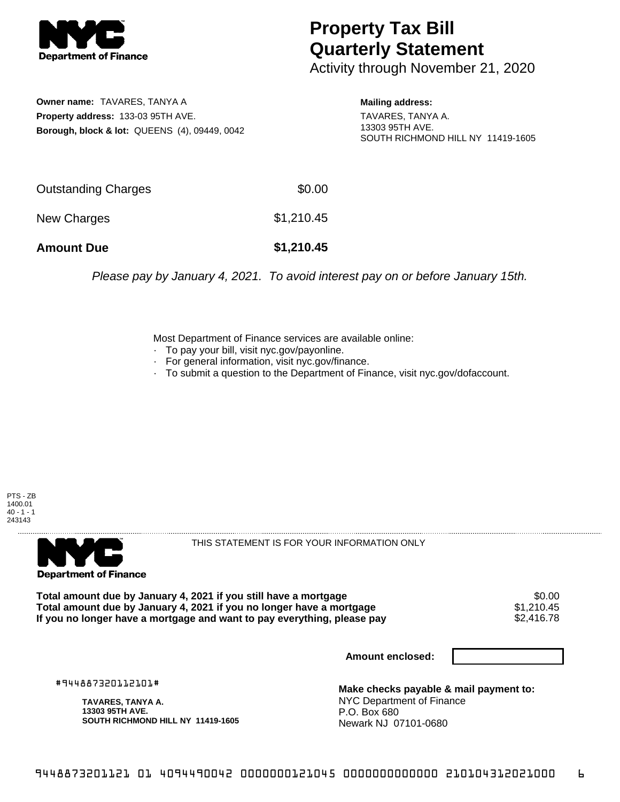

## **Property Tax Bill Quarterly Statement**

Activity through November 21, 2020

**Owner name:** TAVARES, TANYA A **Property address:** 133-03 95TH AVE. **Borough, block & lot:** QUEENS (4), 09449, 0042 **Mailing address:**

TAVARES, TANYA A. 13303 95TH AVE. SOUTH RICHMOND HILL NY 11419-1605

| <b>Amount Due</b>   | \$1,210.45 |
|---------------------|------------|
| New Charges         | \$1,210.45 |
| Outstanding Charges | \$0.00     |

Please pay by January 4, 2021. To avoid interest pay on or before January 15th.

Most Department of Finance services are available online:

- · To pay your bill, visit nyc.gov/payonline.
- For general information, visit nyc.gov/finance.
- · To submit a question to the Department of Finance, visit nyc.gov/dofaccount.

PTS - ZB 1400.01  $40 - 1 - 1$ 243143



THIS STATEMENT IS FOR YOUR INFORMATION ONLY

Total amount due by January 4, 2021 if you still have a mortgage \$0.00<br>Total amount due by January 4, 2021 if you no longer have a mortgage \$1.210.45 **Total amount due by January 4, 2021 if you no longer have a mortgage**  $$1,210.45$ **<br>If you no longer have a mortgage and want to pay everything, please pay**  $$2,416.78$ If you no longer have a mortgage and want to pay everything, please pay

**Amount enclosed:**

#944887320112101#

**TAVARES, TANYA A. 13303 95TH AVE. SOUTH RICHMOND HILL NY 11419-1605**

**Make checks payable & mail payment to:** NYC Department of Finance P.O. Box 680 Newark NJ 07101-0680